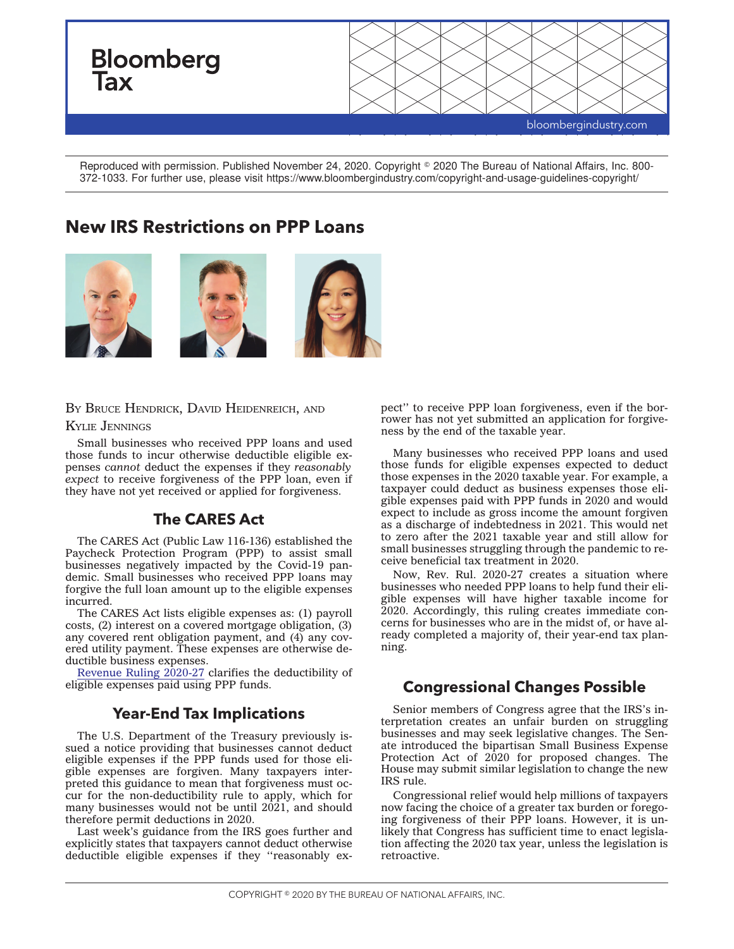

Reproduced with permission. Published November 24, 2020. Copyright © 2020 The Bureau of National Affairs, Inc. 800-372-1033. For further use, please visit https://www.bloombergindustry.com/copyright-and-usage-guidelines-copyright/

# **New IRS Restrictions on PPP Loans**



#### B<sup>Y</sup> BRUCE HENDRICK, DAVID HEIDENREICH, AND

#### KYLIE JENNINGS

Small businesses who received PPP loans and used those funds to incur otherwise deductible eligible expenses *cannot* deduct the expenses if they *reasonably expect* to receive forgiveness of the PPP loan, even if they have not yet received or applied for forgiveness.

## **The CARES Act**

The CARES Act (Public Law 116-136) established the Paycheck Protection Program (PPP) to assist small businesses negatively impacted by the Covid-19 pandemic. Small businesses who received PPP loans may forgive the full loan amount up to the eligible expenses incurred.

The CARES Act lists eligible expenses as: (1) payroll costs, (2) interest on a covered mortgage obligation, (3) any covered rent obligation payment, and (4) any covered utility payment. These expenses are otherwise deductible business expenses.

[Revenue Ruling 2020-27](https://www.irs.gov/pub/irs-drop/rr-20-27.pdf) clarifies the deductibility of eligible expenses paid using PPP funds.

### **Year-End Tax Implications**

The U.S. Department of the Treasury previously issued a notice providing that businesses cannot deduct eligible expenses if the PPP funds used for those eligible expenses are forgiven. Many taxpayers interpreted this guidance to mean that forgiveness must occur for the non-deductibility rule to apply, which for many businesses would not be until 2021, and should therefore permit deductions in 2020.

Last week's guidance from the IRS goes further and explicitly states that taxpayers cannot deduct otherwise deductible eligible expenses if they ''reasonably expect'' to receive PPP loan forgiveness, even if the borrower has not yet submitted an application for forgiveness by the end of the taxable year.

Many businesses who received PPP loans and used those funds for eligible expenses expected to deduct those expenses in the 2020 taxable year. For example, a taxpayer could deduct as business expenses those eligible expenses paid with PPP funds in 2020 and would expect to include as gross income the amount forgiven as a discharge of indebtedness in 2021. This would net to zero after the 2021 taxable year and still allow for small businesses struggling through the pandemic to receive beneficial tax treatment in 2020.

Now, Rev. Rul. 2020-27 creates a situation where businesses who needed PPP loans to help fund their eligible expenses will have higher taxable income for 2020. Accordingly, this ruling creates immediate concerns for businesses who are in the midst of, or have already completed a majority of, their year-end tax planning.

### **Congressional Changes Possible**

Senior members of Congress agree that the IRS's interpretation creates an unfair burden on struggling businesses and may seek legislative changes. The Senate introduced the bipartisan Small Business Expense Protection Act of 2020 for proposed changes. The House may submit similar legislation to change the new IRS rule.

Congressional relief would help millions of taxpayers now facing the choice of a greater tax burden or foregoing forgiveness of their PPP loans. However, it is unlikely that Congress has sufficient time to enact legislation affecting the 2020 tax year, unless the legislation is retroactive.